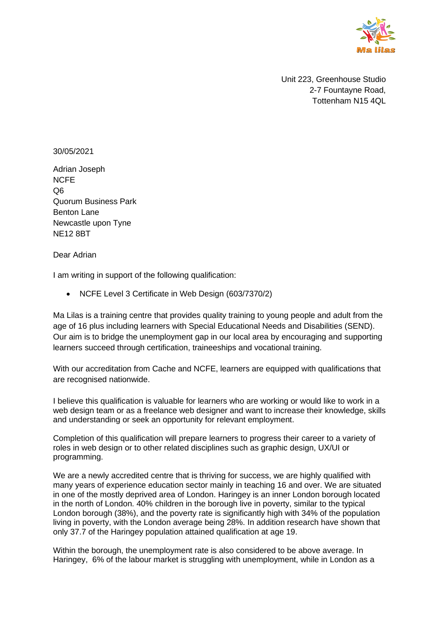

 Unit 223, Greenhouse Studio 2-7 Fountayne Road, Tottenham N15 4QL

## 30/05/2021

Adrian Joseph NCFE Q6 Quorum Business Park Benton Lane Newcastle upon Tyne NE12 8BT

Dear Adrian

I am writing in support of the following qualification:

• NCFE Level 3 Certificate in Web Design (603/7370/2)

Ma Lilas is a training centre that provides quality training to young people and adult from the age of 16 plus including learners with Special Educational Needs and Disabilities (SEND). Our aim is to bridge the unemployment gap in our local area by encouraging and supporting learners succeed through certification, traineeships and vocational training.

With our accreditation from Cache and NCFE, learners are equipped with qualifications that are recognised nationwide.

I believe this qualification is valuable for learners who are working or would like to work in a web design team or as a freelance web designer and want to increase their knowledge, skills and understanding or seek an opportunity for relevant employment.

Completion of this qualification will prepare learners to progress their career to a variety of roles in web design or to other related disciplines such as graphic design, UX/UI or programming.

We are a newly accredited centre that is thriving for success, we are highly qualified with many years of experience education sector mainly in teaching 16 and over. We are situated in one of the mostly deprived area of London. Haringey is an inner London borough located in the north of London. 40% children in the borough live in poverty, similar to the typical London borough (38%), and the poverty rate is significantly high with 34% of the population living in poverty, with the London average being 28%. In addition research have shown that only 37.7 of the Haringey population attained qualification at age 19.

Within the borough, the unemployment rate is also considered to be above average. In Haringey, 6% of the labour market is struggling with unemployment, while in London as a